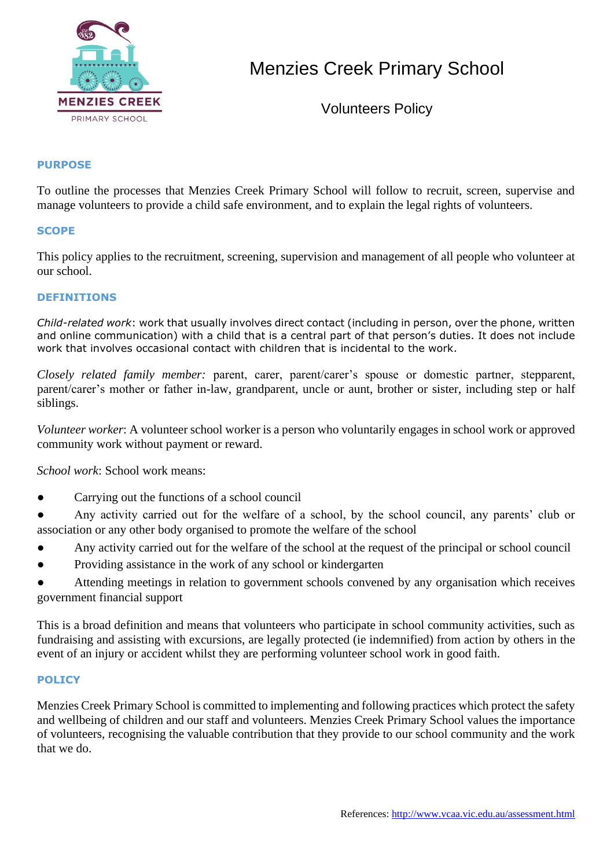

# Menzies Creek Primary School

Volunteers Policy

## **PURPOSE**

To outline the processes that Menzies Creek Primary School will follow to recruit, screen, supervise and manage volunteers to provide a child safe environment, and to explain the legal rights of volunteers.

### **SCOPE**

This policy applies to the recruitment, screening, supervision and management of all people who volunteer at our school.

## **DEFINITIONS**

*Child-related work*: work that usually involves direct contact (including in person, over the phone, written and online communication) with a child that is a central part of that person's duties. It does not include work that involves occasional contact with children that is incidental to the work.

*Closely related family member:* parent, carer, parent/carer's spouse or domestic partner, stepparent, parent/carer's mother or father in-law, grandparent, uncle or aunt, brother or sister, including step or half siblings.

*Volunteer worker*: A volunteer school worker is a person who voluntarily engages in school work or approved community work without payment or reward.

*School work*: School work means:

- Carrying out the functions of a school council
- Any activity carried out for the welfare of a school, by the school council, any parents' club or association or any other body organised to promote the welfare of the school
- Any activity carried out for the welfare of the school at the request of the principal or school council
- Providing assistance in the work of any school or kindergarten
- Attending meetings in relation to government schools convened by any organisation which receives government financial support

This is a broad definition and means that volunteers who participate in school community activities, such as fundraising and assisting with excursions, are legally protected (ie indemnified) from action by others in the event of an injury or accident whilst they are performing volunteer school work in good faith.

#### **POLICY**

Menzies Creek Primary School is committed to implementing and following practices which protect the safety and wellbeing of children and our staff and volunteers. Menzies Creek Primary School values the importance of volunteers, recognising the valuable contribution that they provide to our school community and the work that we do.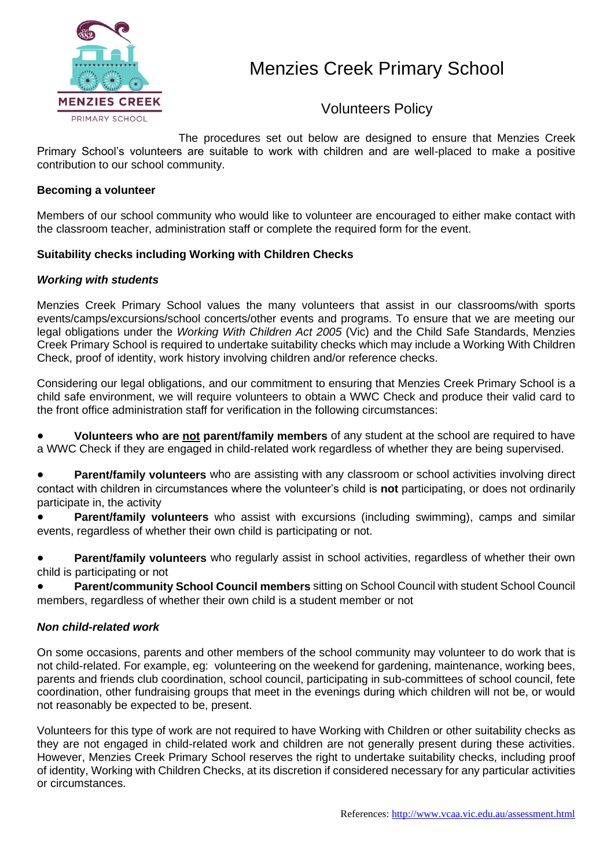

Volunteers Policy

The procedures set out below are designed to ensure that Menzies Creek Primary School's volunteers are suitable to work with children and are well-placed to make a positive contribution to our school community.

## **Becoming a volunteer**

Members of our school community who would like to volunteer are encouraged to either make contact with the classroom teacher, administration staff or complete the required form for the event.

### **Suitability checks including Working with Children Checks**

### *Working with students*

Menzies Creek Primary School values the many volunteers that assist in our classrooms/with sports events/camps/excursions/school concerts/other events and programs. To ensure that we are meeting our legal obligations under the *Working With Children Act 2005* (Vic) and the Child Safe Standards, Menzies Creek Primary School is required to undertake suitability checks which may include a Working With Children Check, proof of identity, work history involving children and/or reference checks.

Considering our legal obligations, and our commitment to ensuring that Menzies Creek Primary School is a child safe environment, we will require volunteers to obtain a WWC Check and produce their valid card to the front office administration staff for verification in the following circumstances:

**Volunteers who are not parent/family members** of any student at the school are required to have a WWC Check if they are engaged in child-related work regardless of whether they are being supervised.

**Parent/family volunteers** who are assisting with any classroom or school activities involving direct contact with children in circumstances where the volunteer's child is **not** participating, or does not ordinarily participate in, the activity

● **Parent/family volunteers** who assist with excursions (including swimming), camps and similar events, regardless of whether their own child is participating or not.

**Parent/family volunteers** who regularly assist in school activities, regardless of whether their own child is participating or not

● **Parent/community School Council members** sitting on School Council with student School Council members, regardless of whether their own child is a student member or not

#### *Non child-related work*

On some occasions, parents and other members of the school community may volunteer to do work that is not child-related. For example, eg: volunteering on the weekend for gardening, maintenance, working bees, parents and friends club coordination, school council, participating in sub-committees of school council, fete coordination, other fundraising groups that meet in the evenings during which children will not be, or would not reasonably be expected to be, present.

Volunteers for this type of work are not required to have Working with Children or other suitability checks as they are not engaged in child-related work and children are not generally present during these activities. However, Menzies Creek Primary School reserves the right to undertake suitability checks, including proof of identity, Working with Children Checks, at its discretion if considered necessary for any particular activities or circumstances.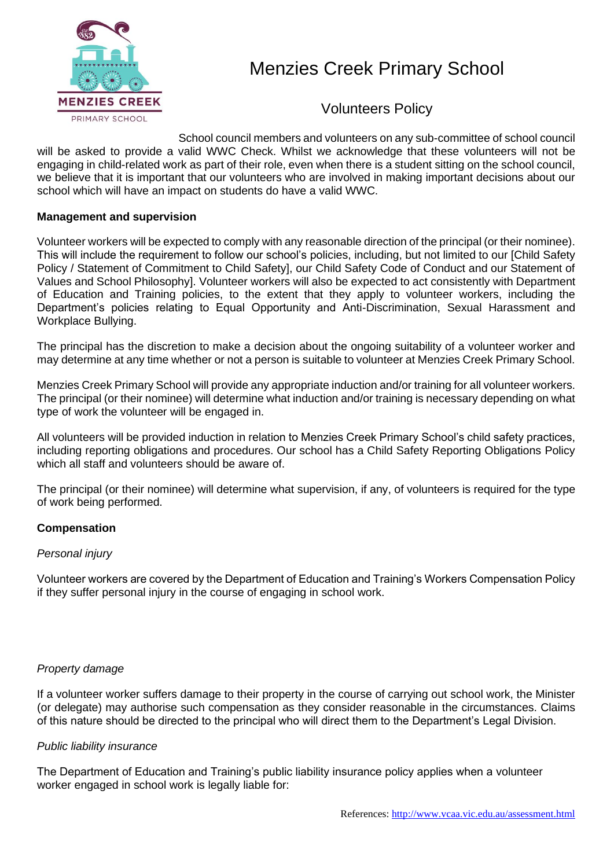

# Menzies Creek Primary School

Volunteers Policy

School council members and volunteers on any sub-committee of school council will be asked to provide a valid WWC Check. Whilst we acknowledge that these volunteers will not be engaging in child-related work as part of their role, even when there is a student sitting on the school council, we believe that it is important that our volunteers who are involved in making important decisions about our school which will have an impact on students do have a valid WWC.

# **Management and supervision**

Volunteer workers will be expected to comply with any reasonable direction of the principal (or their nominee). This will include the requirement to follow our school's policies, including, but not limited to our [Child Safety Policy / Statement of Commitment to Child Safety], our Child Safety Code of Conduct and our Statement of Values and School Philosophy]. Volunteer workers will also be expected to act consistently with Department of Education and Training policies, to the extent that they apply to volunteer workers, including the Department's policies relating to Equal Opportunity and Anti-Discrimination, Sexual Harassment and Workplace Bullying.

The principal has the discretion to make a decision about the ongoing suitability of a volunteer worker and may determine at any time whether or not a person is suitable to volunteer at Menzies Creek Primary School.

Menzies Creek Primary School will provide any appropriate induction and/or training for all volunteer workers. The principal (or their nominee) will determine what induction and/or training is necessary depending on what type of work the volunteer will be engaged in.

All volunteers will be provided induction in relation to Menzies Creek Primary School's child safety practices, including reporting obligations and procedures. Our school has a Child Safety Reporting Obligations Policy which all staff and volunteers should be aware of.

The principal (or their nominee) will determine what supervision, if any, of volunteers is required for the type of work being performed.

## **Compensation**

## *Personal injury*

Volunteer workers are covered by the Department of Education and Training's Workers Compensation Policy if they suffer personal injury in the course of engaging in school work.

## *Property damage*

If a volunteer worker suffers damage to their property in the course of carrying out school work, the Minister (or delegate) may authorise such compensation as they consider reasonable in the circumstances. Claims of this nature should be directed to the principal who will direct them to the Department's Legal Division.

## *Public liability insurance*

The Department of Education and Training's public liability insurance policy applies when a volunteer worker engaged in school work is legally liable for: